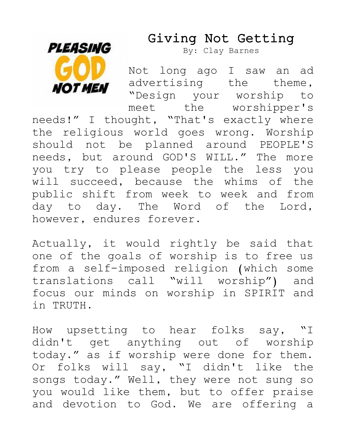## Giving Not Getting



By: Clay Barnes

Not long ago I saw an ad advertising the theme, "Design your worship to meet the worshipper's needs!" I thought, "That's exactly where the religious world goes wrong. Worship should not be planned around PEOPLE'S needs, but around GOD'S WILL." The more you try to please people the less you will succeed, because the whims of the public shift from week to week and from day to day. The Word of the Lord, however, endures forever.

Actually, it would rightly be said that one of the goals of worship is to free us from a self-imposed religion (which some translations call "will worship") and focus our minds on worship in SPIRIT and in TRUTH.

How upsetting to hear folks say, "I didn't get anything out of worship today." as if worship were done for them. Or folks will say, "I didn't like the songs today." Well, they were not sung so you would like them, but to offer praise and devotion to God. We are offering a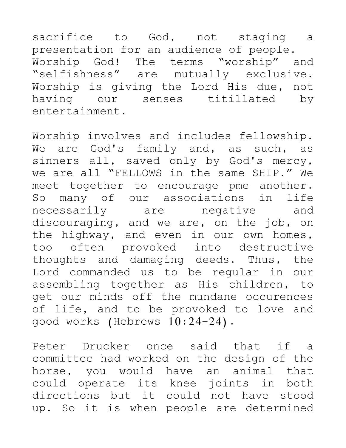sacrifice to God, not staging a presentation for an audience of people. Worship God! The terms "worship" and "selfishness" are mutually exclusive. Worship is giving the Lord His due, not having our senses titillated by entertainment.

Worship involves and includes fellowship. We are God's family and, as such, as sinners all, saved only by God's mercy, we are all "FELLOWS in the same SHIP." We meet together to encourage pme another. So many of our associations in life necessarily are negative and discouraging, and we are, on the job, on the highway, and even in our own homes, too often provoked into destructive thoughts and damaging deeds. Thus, the Lord commanded us to be regular in our assembling together as His children, to get our minds off the mundane occurences of life, and to be provoked to love and good works (Hebrews 10:24-24).

Peter Drucker once said that if a committee had worked on the design of the horse, you would have an animal that could operate its knee joints in both directions but it could not have stood up. So it is when people are determined